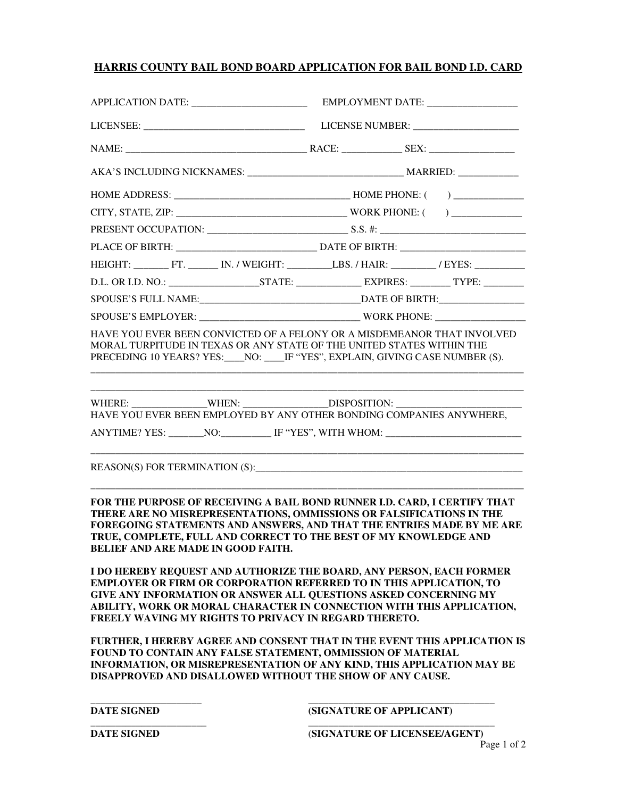### **HARRIS COUNTY BAIL BOND BOARD APPLICATION FOR BAIL BOND I.D. CARD**

| APPLICATION DATE: ________________________            |                                                                                                                                                                                                                                                                                                                                                                        |
|-------------------------------------------------------|------------------------------------------------------------------------------------------------------------------------------------------------------------------------------------------------------------------------------------------------------------------------------------------------------------------------------------------------------------------------|
|                                                       |                                                                                                                                                                                                                                                                                                                                                                        |
|                                                       |                                                                                                                                                                                                                                                                                                                                                                        |
|                                                       |                                                                                                                                                                                                                                                                                                                                                                        |
|                                                       |                                                                                                                                                                                                                                                                                                                                                                        |
|                                                       |                                                                                                                                                                                                                                                                                                                                                                        |
|                                                       |                                                                                                                                                                                                                                                                                                                                                                        |
|                                                       |                                                                                                                                                                                                                                                                                                                                                                        |
|                                                       |                                                                                                                                                                                                                                                                                                                                                                        |
|                                                       |                                                                                                                                                                                                                                                                                                                                                                        |
|                                                       |                                                                                                                                                                                                                                                                                                                                                                        |
|                                                       | SPOUSE'S EMPLOYER: WORK PHONE:                                                                                                                                                                                                                                                                                                                                         |
|                                                       | HAVE YOU EVER BEEN CONVICTED OF A FELONY OR A MISDEMEANOR THAT INVOLVED<br>MORAL TURPITUDE IN TEXAS OR ANY STATE OF THE UNITED STATES WITHIN THE<br>PRECEDING 10 YEARS? YES:____NO: ____IF "YES", EXPLAIN, GIVING CASE NUMBER (S).                                                                                                                                     |
|                                                       | WHERE: ________________WHEN: __________________DISPOSITION: ____________________<br>HAVE YOU EVER BEEN EMPLOYED BY ANY OTHER BONDING COMPANIES ANYWHERE,<br>ANYTIME? YES: ________NO:____________ IF "YES", WITH WHOM: ______________________                                                                                                                          |
|                                                       | REASON(S) FOR TERMINATION (S): University of the state of the state of the state of the state of the state of the state of the state of the state of the state of the state of the state of the state of the state of the stat                                                                                                                                         |
| <b>BELIEF AND ARE MADE IN GOOD FAITH.</b>             | FOR THE PURPOSE OF RECEIVING A BAIL BOND RUNNER I.D. CARD, I CERTIFY THAT<br>THERE ARE NO MISREPRESENTATIONS, OMMISSIONS OR FALSIFICATIONS IN THE<br>FOREGOING STATEMENTS AND ANSWERS, AND THAT THE ENTRIES MADE BY ME ARE<br>TRUE, COMPLETE, FULL AND CORRECT TO THE BEST OF MY KNOWLEDGE AND<br>I DO HEREBY REQUEST AND AUTHORIZE THE BOARD, ANY PERSON, EACH FORMER |
| FREELY WAVING MY RIGHTS TO PRIVACY IN REGARD THERETO. | <b>EMPLOYER OR FIRM OR CORPORATION REFERRED TO IN THIS APPLICATION, TO</b><br>GIVE ANY INFORMATION OR ANSWER ALL QUESTIONS ASKED CONCERNING MY<br>ABILITY, WORK OR MORAL CHARACTER IN CONNECTION WITH THIS APPLICATION,                                                                                                                                                |
|                                                       | FURTHER, I HEREBY AGREE AND CONSENT THAT IN THE EVENT THIS APPLICATION IS<br>FOUND TO CONTAIN ANY FALSE STATEMENT, OMMISSION OF MATERIAL<br>INFORMATION, OR MISREPRESENTATION OF ANY KIND, THIS APPLICATION MAY BE<br>DISAPPROVED AND DISALLOWED WITHOUT THE SHOW OF ANY CAUSE.                                                                                        |
| <b>DATE SIGNED</b>                                    | (SIGNATURE OF APPLICANT)                                                                                                                                                                                                                                                                                                                                               |

\_\_\_\_\_\_\_\_\_\_\_\_\_\_\_\_\_\_\_\_\_\_\_ \_\_\_\_\_\_\_\_\_\_\_\_\_\_\_\_\_\_\_\_\_\_\_\_\_\_\_\_\_\_\_\_\_\_\_\_\_

Page 1 of 2 **DATE SIGNED** (**SIGNATURE OF LICENSEE/AGENT**)